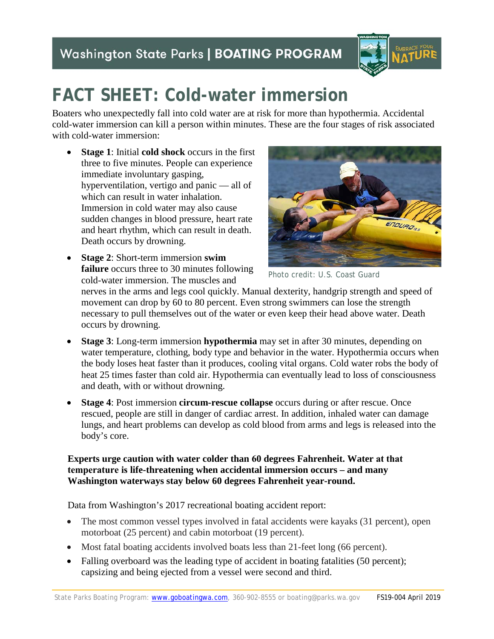## **Washington State Parks | BOATING PROGRAM**



# **FACT SHEET: Cold-water immersion**

Boaters who unexpectedly fall into cold water are at risk for more than hypothermia. Accidental cold-water immersion can kill a person within minutes. These are the four stages of risk associated with cold-water immersion:

- **Stage 1**: Initial **cold shock** occurs in the first three to five minutes. People can experience immediate involuntary gasping, hyperventilation, vertigo and panic — all of which can result in water inhalation. Immersion in cold water may also cause sudden changes in blood pressure, heart rate and heart rhythm, which can result in death. Death occurs by drowning.
- **Stage 2**: Short-term immersion **swim failure** occurs three to 30 minutes following cold-water immersion. The muscles and



Photo credit: U.S. Coast Guard

nerves in the arms and legs cool quickly. Manual dexterity, handgrip strength and speed of movement can drop by 60 to 80 percent. Even strong swimmers can lose the strength necessary to pull themselves out of the water or even keep their head above water. Death occurs by drowning.

- **Stage 3**: Long-term immersion **hypothermia** may set in after 30 minutes, depending on water temperature, clothing, body type and behavior in the water. Hypothermia occurs when the body loses heat faster than it produces, cooling vital organs. Cold water robs the body of heat 25 times faster than cold air. Hypothermia can eventually lead to loss of consciousness and death, with or without drowning.
- **Stage 4**: Post immersion **circum-rescue collapse** occurs during or after rescue. Once rescued, people are still in danger of cardiac arrest. In addition, inhaled water can damage lungs, and heart problems can develop as cold blood from arms and legs is released into the body's core.

#### **Experts urge caution with water colder than 60 degrees Fahrenheit. Water at that temperature is life-threatening when accidental immersion occurs – and many Washington waterways stay below 60 degrees Fahrenheit year-round.**

Data from Washington's 2017 recreational boating accident report:

- The most common vessel types involved in fatal accidents were kayaks (31 percent), open motorboat (25 percent) and cabin motorboat (19 percent).
- Most fatal boating accidents involved boats less than 21-feet long (66 percent).
- Falling overboard was the leading type of accident in boating fatalities (50 percent); capsizing and being ejected from a vessel were second and third.